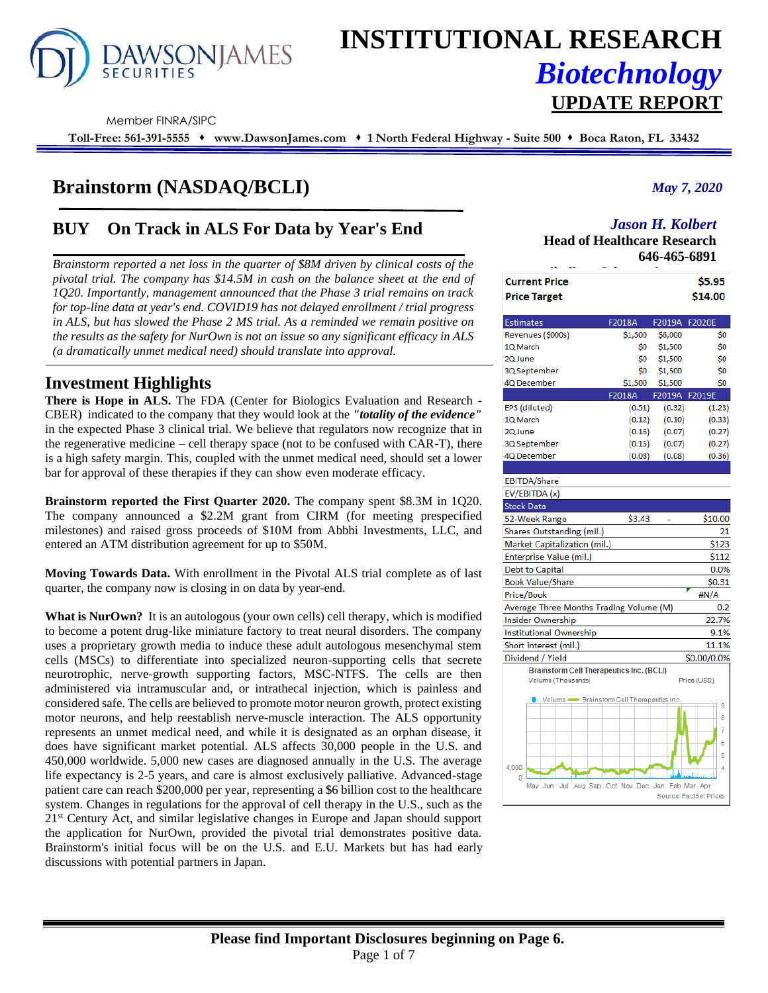

# **INSTITUTIONAL RESEARCH** *Biotechnology* **UPDATE REPORT**

Member FINRA/SIPC

**Toll-Free: 561-391-5555** ⬧ **www.DawsonJames.com** ⬧ **1 North Federal Highway - Suite 500** ⬧ **Boca Raton, FL 33432**

# **Brainstorm (NASDAQ/BCLI)**

# **BUY On Track in ALS For Data by Year's End**

*Brainstorm reported a net loss in the quarter of \$8M driven by clinical costs of the pivotal trial. The company has \$14.5M in cash on the balance sheet at the end of 1Q20. Importantly, management announced that the Phase 3 trial remains on track for top-line data at year's end. COVID19 has not delayed enrollment / trial progress in ALS, but has slowed the Phase 2 MS trial. As a reminded we remain positive on the results as the safety for NurOwn is not an issue so any significant efficacy in ALS (a dramatically unmet medical need) should translate into approval.*

# **Investment Highlights**

**There is Hope in ALS.** The FDA (Center for Biologics Evaluation and Research - CBER) indicated to the company that they would look at the *"totality of the evidence"* in the expected Phase 3 clinical trial. We believe that regulators now recognize that in the regenerative medicine – cell therapy space (not to be confused with CAR-T), there is a high safety margin. This, coupled with the unmet medical need, should set a lower bar for approval of these therapies if they can show even moderate efficacy.

**Brainstorm reported the First Quarter 2020.** The company spent \$8.3M in 1Q20. The company announced a \$2.2M grant from CIRM (for meeting prespecified milestones) and raised gross proceeds of \$10M from Abbhi Investments, LLC, and entered an ATM distribution agreement for up to \$50M.

**Moving Towards Data.** With enrollment in the Pivotal ALS trial complete as of last quarter, the company now is closing in on data by year-end.

**What is NurOwn?** It is an autologous (your own cells) cell therapy, which is modified to become a potent drug-like miniature factory to treat neural disorders. The company uses a proprietary growth media to induce these adult autologous mesenchymal stem cells (MSCs) to differentiate into specialized neuron-supporting cells that secrete neurotrophic, nerve-growth supporting factors, MSC-NTFS. The cells are then administered via intramuscular and, or intrathecal injection, which is painless and considered safe. The cells are believed to promote motor neuron growth, protect existing motor neurons, and help reestablish nerve-muscle interaction. The ALS opportunity represents an unmet medical need, and while it is designated as an orphan disease, it does have significant market potential. ALS affects 30,000 people in the U.S. and 450,000 worldwide. 5,000 new cases are diagnosed annually in the U.S. The average life expectancy is 2-5 years, and care is almost exclusively palliative. Advanced-stage patient care can reach \$200,000 per year, representing a \$6 billion cost to the healthcare system. Changes in regulations for the approval of cell therapy in the U.S., such as the 21st Century Act, and similar legislative changes in Europe and Japan should support the application for NurOwn, provided the pivotal trial demonstrates positive data. Brainstorm's initial focus will be on the U.S. and E.U. Markets but has had early discussions with potential partners in Japan.

### *May 7, 2020*

## *Jason H. Kolbert*

**Head of Healthcare Research 646-465-6891**

| . .<br>--                                                  |         |               |                        |
|------------------------------------------------------------|---------|---------------|------------------------|
| <b>Current Price</b>                                       |         |               | \$5.95                 |
| <b>Price Target</b>                                        |         |               | \$14.00                |
| <b>Estimates</b>                                           | F2018A  | F2019A F2020E |                        |
| Revenues (\$000s)                                          | \$1,500 | \$6,000       | Ś0                     |
| 1Q March                                                   | \$0     | \$1,500       | Ś0                     |
| 2Q June                                                    | Ś0      | \$1,500       | Ś0                     |
| 3Q September                                               | \$0     | \$1,500       | \$0                    |
| 4Q December                                                | \$1,500 | \$1,500       | \$O                    |
|                                                            | F2018A  | F2019A F2019E |                        |
| EPS (diluted)                                              | (0.51)  | (0.32)        | (1.23)                 |
| 1Q March                                                   | (0.12)  | (0.10)        | (0.33)                 |
| 2Q June                                                    | (0.16)  | (0.07)        | (0.27)                 |
| 3Q September                                               | (0.15)  | (0.07)        | (0.27)                 |
| 4Q December                                                | (0.08)  | (0.08)        | (0.36)                 |
|                                                            |         |               |                        |
| <b>EBITDA/Share</b>                                        |         |               |                        |
| EV/EBITDA (x)                                              |         |               |                        |
| <b>Stock Data</b>                                          |         |               |                        |
| 52-Week Range                                              | \$3.43  |               | \$10.00                |
| Shares Outstanding (mil.)                                  |         |               | 21                     |
| Market Capitalization (mil.)                               |         |               | \$123                  |
| Enterprise Value (mil.)                                    |         |               | \$112                  |
| <b>Debt to Capital</b>                                     |         |               | 0.0%                   |
| <b>Book Value/Share</b>                                    |         |               | \$0.31                 |
| Price/Book                                                 |         |               | #N/A                   |
| Average Three Months Trading Volume (M)                    |         |               | 0.2                    |
| Insider Ownership                                          |         |               | 22.7%                  |
| <b>Institutional Ownership</b>                             |         |               | 9.1%                   |
| Short interest (mil.)                                      |         |               | 11.1%                  |
| Dividend / Yield                                           |         |               | \$0.00/0.0%            |
| <b>Brainstorm Cell Therapeutics Inc. (BCLI)</b>            |         |               |                        |
| Volume (Thousands)                                         |         |               | Price (USD)            |
| Volume  Srainstom Cell Therapeutics Inc.                   |         |               |                        |
|                                                            |         |               | 9                      |
|                                                            |         |               | 8                      |
|                                                            |         |               | 7                      |
|                                                            |         |               | 6                      |
|                                                            |         |               | 5                      |
| 4.000                                                      |         |               | 4                      |
| 0<br>Aug Sep Oct Nov Dec Jan Feb Mar Apr<br>Jul<br>May Jun |         |               |                        |
|                                                            |         |               | Source: EactSet Prices |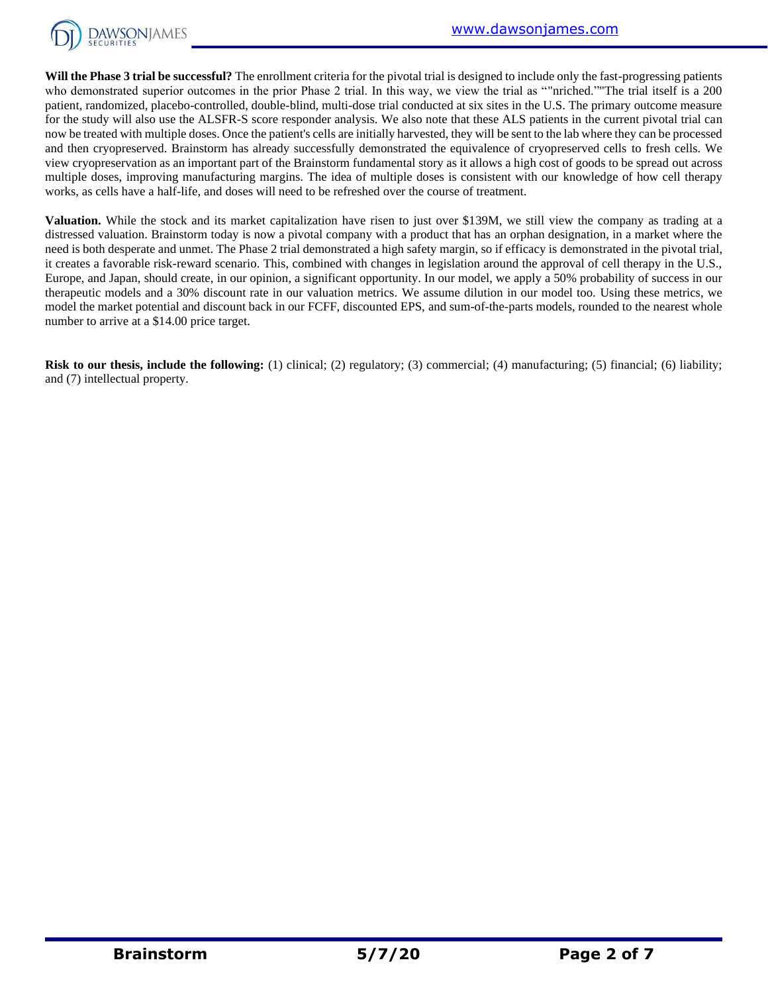

Will the Phase 3 trial be successful? The enrollment criteria for the pivotal trial is designed to include only the fast-progressing patients who demonstrated superior outcomes in the prior Phase 2 trial. In this way, we view the trial as ""nriched.""The trial itself is a 200 patient, randomized, placebo-controlled, double-blind, multi-dose trial conducted at six sites in the U.S. The primary outcome measure for the study will also use the ALSFR-S score responder analysis. We also note that these ALS patients in the current pivotal trial can now be treated with multiple doses. Once the patient's cells are initially harvested, they will be sent to the lab where they can be processed and then cryopreserved. Brainstorm has already successfully demonstrated the equivalence of cryopreserved cells to fresh cells. We view cryopreservation as an important part of the Brainstorm fundamental story as it allows a high cost of goods to be spread out across multiple doses, improving manufacturing margins. The idea of multiple doses is consistent with our knowledge of how cell therapy works, as cells have a half-life, and doses will need to be refreshed over the course of treatment.

**Valuation.** While the stock and its market capitalization have risen to just over \$139M, we still view the company as trading at a distressed valuation. Brainstorm today is now a pivotal company with a product that has an orphan designation, in a market where the need is both desperate and unmet. The Phase 2 trial demonstrated a high safety margin, so if efficacy is demonstrated in the pivotal trial, it creates a favorable risk-reward scenario. This, combined with changes in legislation around the approval of cell therapy in the U.S., Europe, and Japan, should create, in our opinion, a significant opportunity. In our model, we apply a 50% probability of success in our therapeutic models and a 30% discount rate in our valuation metrics. We assume dilution in our model too. Using these metrics, we model the market potential and discount back in our FCFF, discounted EPS, and sum-of-the-parts models, rounded to the nearest whole number to arrive at a \$14.00 price target.

**Risk to our thesis, include the following:** (1) clinical; (2) regulatory; (3) commercial; (4) manufacturing; (5) financial; (6) liability; and (7) intellectual property.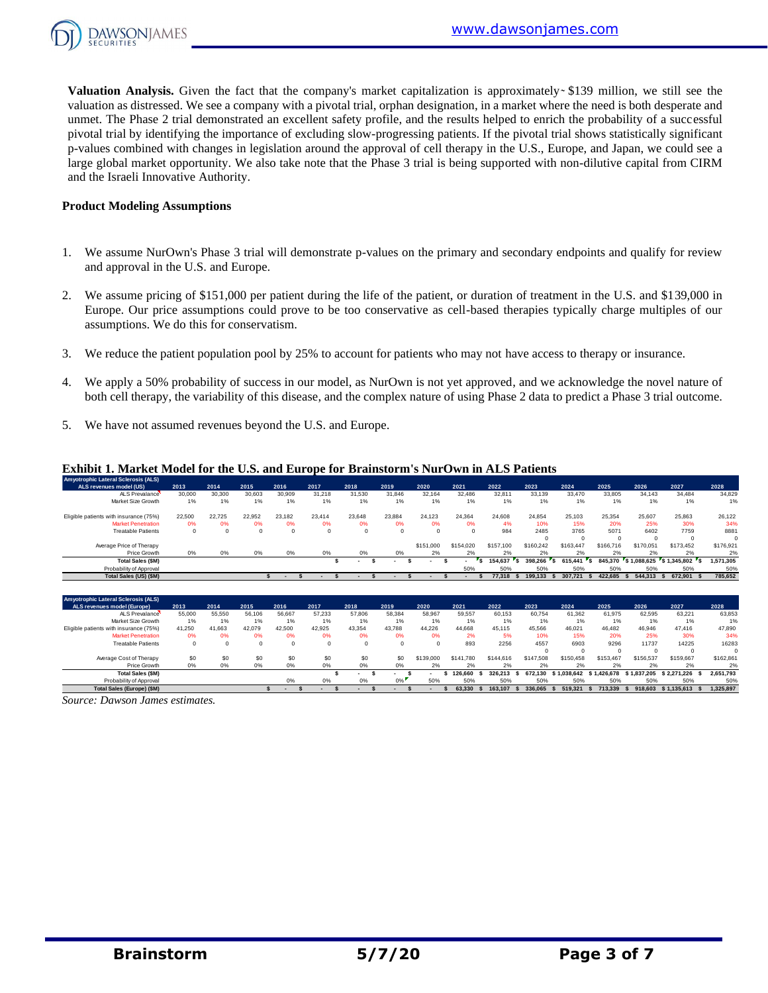

**Valuation Analysis.** Given the fact that the company's market capitalization is approximately  $\frac{1}{2}$  and  $\frac{1}{2}$  million, we still see the valuation as distressed. We see a company with a pivotal trial, orphan designation, in a market where the need is both desperate and unmet. The Phase 2 trial demonstrated an excellent safety profile, and the results helped to enrich the probability of a successful pivotal trial by identifying the importance of excluding slow-progressing patients. If the pivotal trial shows statistically significant p-values combined with changes in legislation around the approval of cell therapy in the U.S., Europe, and Japan, we could see a large global market opportunity. We also take note that the Phase 3 trial is being supported with non-dilutive capital from CIRM and the Israeli Innovative Authority.

#### **Product Modeling Assumptions**

- 1. We assume NurOwn's Phase 3 trial will demonstrate p-values on the primary and secondary endpoints and qualify for review and approval in the U.S. and Europe.
- 2. We assume pricing of \$151,000 per patient during the life of the patient, or duration of treatment in the U.S. and \$139,000 in Europe. Our price assumptions could prove to be too conservative as cell-based therapies typically charge multiples of our assumptions. We do this for conservatism.
- 3. We reduce the patient population pool by 25% to account for patients who may not have access to therapy or insurance.
- 4. We apply a 50% probability of success in our model, as NurOwn is not yet approved, and we acknowledge the novel nature of both cell therapy, the variability of this disease, and the complex nature of using Phase 2 data to predict a Phase 3 trial outcome.
- 5. We have not assumed revenues beyond the U.S. and Europe.

#### **Exhibit 1. Market Model for the U.S. and Europe for Brainstorm's NurOwn in ALS Patients**

| <b>Exhibit 1. Market Model for the U.S. and Europe for Brainstorm's NurOwn in ALS Patients</b> |         |          |        |                          |        |         |          |           |           |           |           |           |           |             |           |           |
|------------------------------------------------------------------------------------------------|---------|----------|--------|--------------------------|--------|---------|----------|-----------|-----------|-----------|-----------|-----------|-----------|-------------|-----------|-----------|
| <b>Amyotrophic Lateral Sclerosis (ALS)</b>                                                     |         |          |        |                          |        |         |          |           |           |           |           |           |           |             |           |           |
| ALS revenues model (US)                                                                        | 2013    | 2014     | 2015   | 2016                     | 2017   | 2018    | 2019     | 2020      | 2021      | 2022      | 2023      | 2024      | 2025      | 2026        | 2027      | 2028      |
| ALS Prevalance                                                                                 | 30,000  | 30,300   | 30,603 | 30,909                   | 31,218 | 31.530  | 31,846   | 32.164    | 32.486    | 32.811    | 33.139    | 33,470    | 33.805    | 34.143      | 34.484    | 34,829    |
| Market Size Growth                                                                             | 1%      | 1%       | 1%     | 1%                       | 1%     | 1%      | 1%       | 1%        | 1%        | 1%        | 1%        | 1%        | $1\%$     | 1%          | 1%        | 1%        |
| Eligible patients with insurance (75%)                                                         | 22,500  | 22.725   | 22.952 | 23.182                   | 23.414 | 23.648  | 23.884   | 24.123    | 24.364    | 24,608    | 24.854    | 25.103    | 25.354    | 25.607      | 25.863    | 26,122    |
| <b>Market Penetration</b>                                                                      | 0%      | 0%       | 0%     | 0%                       | 0%     | 0%      | 0%       | 0%        | 0%        | 4%        | 10%       | 15%       | 20%       | 25%         | 30%       | 34%       |
| <b>Treatable Patients</b>                                                                      | $\circ$ | $\Omega$ |        | $\Omega$                 |        | $\circ$ | $\Omega$ |           |           | 984       | 2485      | 3765      | 5071      | 6402        | 7759      | 8881      |
|                                                                                                |         |          |        |                          |        |         |          |           |           |           |           |           | $\Omega$  | $\Omega$    | $\Omega$  | $\Omega$  |
| Average Price of Therapy                                                                       |         |          |        |                          |        |         |          | \$151,000 | \$154.020 | \$157,100 | \$160,242 | \$163,447 | \$166,716 | \$170,051   | \$173,452 | \$176,921 |
| Price Growth                                                                                   | 0%      | 0%       | 0%     | 0%                       | 0%     | 0%      | 0%       | 2%        | 2%        | 2%        | 2%        |           | 2%        |             |           | 2%        |
| <b>Total Sales (\$M)</b>                                                                       |         |          |        |                          |        |         |          |           |           | 154.637   | 398.266   | 615,441   | 845.370   | \$1.088,625 |           | 1,571,305 |
| Probability of Approval                                                                        |         |          |        |                          |        |         |          |           | 50%       | 50%       | 50%       | 50%       | 50%       | 50%         | 50%       | 50%       |
| Total Sales (US) (\$M)                                                                         |         |          |        | $\overline{\phantom{a}}$ |        |         |          |           |           | 77.318    | 199.133   | 307.721   | 422.685   | 544,313     | 672.901   | 785.652   |

|                                            | $\sim$      | $\sim$     | $\sim$ | $\sim$ $\sim$ | $\sim$ | $\sim$   | $\sim$ $\sim$ | $-10$     | $-10$     | $-14$     | $\sim$ $\sim$ | $-10$       | $-11$          | $-10$       | $-10$             | $-10$     |
|--------------------------------------------|-------------|------------|--------|---------------|--------|----------|---------------|-----------|-----------|-----------|---------------|-------------|----------------|-------------|-------------------|-----------|
| <b>Total Sales (\$M)</b>                   |             |            |        |               |        |          |               |           |           | 154,637   | 398.266       | 615.441     | 's.<br>845.370 | \$1,088,625 | S 1.345,802<br>г. | 1,571,305 |
| Probability of Approval                    |             |            |        |               |        |          |               |           | 50%       | 50%       | 50%           | 50%         | 50%            | 50%         | 50%               | 50%       |
| Total Sales (US) (\$M)                     |             |            |        |               |        |          |               |           |           | 77,318    | 199.133       | 307.721     | 422.685        | 544.313     | 672.901           | 785,652   |
|                                            |             |            |        |               |        |          |               |           |           |           |               |             |                |             |                   |           |
| <b>Amyotrophic Lateral Sclerosis (ALS)</b> |             |            |        |               |        |          |               |           |           |           |               |             |                |             |                   |           |
| ALS revenues model (Europe)                | 2013        | 2014       | 2015   | 2016          | 2017   | 2018     | 2019          | 2020      | 2021      | 2022      | 2023          | 2024        | 2025           | 2026        | 2027              | 2028      |
| ALS Prevalance                             | 55,000      | 55,550     | 56,106 | 56,667        | 57,233 | 57,806   | 58,384        | 58,967    | 59,557    | 60,153    | 60,754        | 61,362      | 61,975         | 62,595      | 63,221            | 63,853    |
| Market Size Growth                         | 1%          | 1%         | 1%     | 1%            | 1%     | 1%       | 1%            | 1%        | 1%        | 1%        | 1%            | 1%          | 1%             | 1%          | 1%                | 1%        |
| Eligible patients with insurance (75%)     | 41,250      | 41,663     | 42.079 | 42,500        | 42,925 | 43,354   | 43,788        | 44,226    | 44,668    | 45,115    | 45,566        | 46,021      | 46.482         | 46,946      | 47.416            | 47,890    |
| <b>Market Penetration</b>                  | 0%          | 0%         | 0%     | 0%            | 0%     | 0%       | 0%            | 0%        | 2%        | 5%        | 10%           | 15%         | 20%            | 25%         | 30%               | 34%       |
| <b>Treatable Patients</b>                  | $\mathbf 0$ | $^{\circ}$ |        | $\Omega$      | O      | $\Omega$ | O             | C         | 893       | 2256      | 4557          | 6903        | 9296           | 11737       | 14225             | 16283     |
|                                            |             |            |        |               |        |          |               |           |           |           |               |             |                |             | $\Omega$          |           |
| Average Cost of Therapy                    | \$0         | \$0        | \$0    | \$0           | \$0    | \$0      | \$0           | \$139,000 | \$141,780 | \$144,616 | \$147,508     | \$150.458   | \$153,467      | \$156,537   | \$159,667         | \$162,861 |
| Price Growth                               | 0%          | 0%         | 0%     | 0%            | 0%     | 0%       | 0%            | 2%        | 2%        | 2%        | 2%            | 2%          | 2%             | 2%          | 2%                | 2%        |
| <b>Total Sales (\$M)</b>                   |             |            |        |               |        |          |               |           | 126,660   | 326.213   | 672.130       | \$1.038.642 | \$1,426,678    | \$1.837.205 | \$2.271.226       | 2,651,793 |
| Probability of Approval                    |             |            |        | 0%            | 0%     | 0%       | 0%            | 50%       | 50%       | 50%       | 50%           | 50%         | 50%            | 50%         | 50%               | 50%       |
| Total Sales (Europe) (\$M)                 |             |            |        |               |        |          |               |           | 63.330    | 163.107   | 336.065       | 519.321     | 713.339        | 918,603     | \$1,135,613       | 1,325,897 |
| Source: Dawson James estimates.            |             |            |        |               |        |          |               |           |           |           |               |             |                |             |                   |           |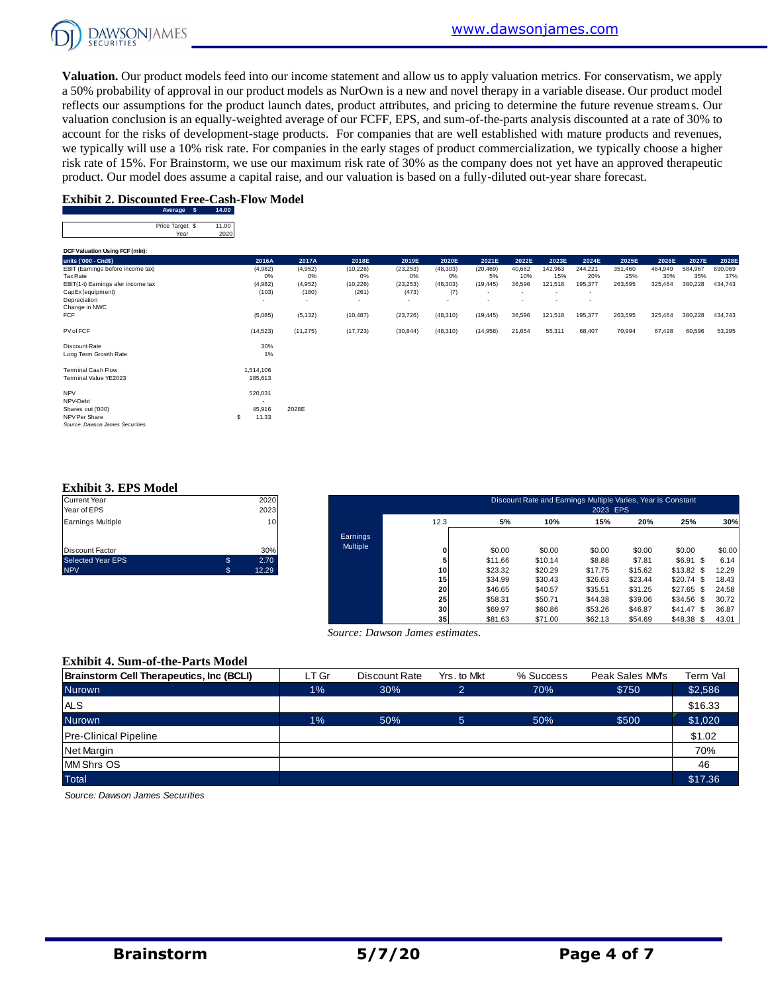

**Valuation.** Our product models feed into our income statement and allow us to apply valuation metrics. For conservatism, we apply a 50% probability of approval in our product models as NurOwn is a new and novel therapy in a variable disease. Our product model reflects our assumptions for the product launch dates, product attributes, and pricing to determine the future revenue streams. Our valuation conclusion is an equally-weighted average of our FCFF, EPS, and sum-of-the-parts analysis discounted at a rate of 30% to account for the risks of development-stage products. For companies that are well established with mature products and revenues, we typically will use a 10% risk rate. For companies in the early stages of product commercialization, we typically choose a higher risk rate of 15%. For Brainstorm, we use our maximum risk rate of 30% as the company does not yet have an approved therapeutic product. Our model does assume a capital raise, and our valuation is based on a fully-diluted out-year share forecast.

#### **Exhibit 2. Discounted Free-Cash-Flow Model**

| Average         | D۵ |
|-----------------|----|
| Price Target \$ |    |
| Year            |    |

|                                    | Average $\phi$          | 14.UU         |                          |                          |           |           |           |           |                          |                          |                          |         |         |         |         |
|------------------------------------|-------------------------|---------------|--------------------------|--------------------------|-----------|-----------|-----------|-----------|--------------------------|--------------------------|--------------------------|---------|---------|---------|---------|
|                                    | Price Target \$<br>Year | 11.00<br>2020 |                          |                          |           |           |           |           |                          |                          |                          |         |         |         |         |
| DCF Valuation Using FCF (mln):     |                         |               |                          |                          |           |           |           |           |                          |                          |                          |         |         |         |         |
| units ('000 - Cnd\$)               |                         |               | 2016A                    | 2017A                    | 2018E     | 2019E     | 2020E     | 2021E     | 2022E                    | 2023E                    | 2024E                    | 2025E   | 2026E   | 2027E   | 2028E   |
| EBIT (Earnings before income tax)  |                         |               | (4,982)                  | (4,952)                  | (10, 226) | (23, 253) | (48, 303) | (20, 469) | 40,662                   | 142,963                  | 244,221                  | 351,460 | 464,949 | 584,967 | 690,069 |
| Tax Rate                           |                         |               | 0%                       | 0%                       | 0%        | 0%        | 0%        | 5%        | 10%                      | 15%                      | 20%                      | 25%     | 30%     | 35%     | 37%     |
| EBIT(1-t) Earnings afer income tax |                         |               | (4,982)                  | (4,952)                  | (10, 226) | (23, 253) | (48, 303) | (19, 445) | 36,596                   | 121,518                  | 195,377                  | 263,595 | 325,464 | 380,228 | 434,743 |
| CapEx (equipment)                  |                         |               | (103)                    | (180)                    | (261)     | (473)     | (7)       | $\sim$    | $\overline{\phantom{a}}$ | $\sim$                   | $\overline{\phantom{a}}$ |         |         |         |         |
| Depreciation                       |                         |               | $\overline{\phantom{a}}$ | $\overline{\phantom{a}}$ |           | $\sim$    | $\sim$    | ٠         |                          | $\overline{\phantom{a}}$ | $\overline{\phantom{a}}$ |         |         |         |         |
| Change in NWC<br>FCF               |                         |               |                          |                          |           |           |           |           |                          |                          |                          |         |         |         |         |
|                                    |                         |               | (5,085)                  | (5, 132)                 | (10, 487) | (23, 726) | (48, 310) | (19, 445) | 36,596                   | 121,518                  | 195,377                  | 263,595 | 325,464 | 380,228 | 434,743 |
| PV of FCF                          |                         |               | (14, 523)                | (11, 275)                | (17, 723) | (30, 844) | (48, 310) | (14,958)  | 21,654                   | 55,311                   | 68,407                   | 70,994  | 67,428  | 60,596  | 53,295  |
| Discount Rate                      |                         |               | 30%                      |                          |           |           |           |           |                          |                          |                          |         |         |         |         |
| Long Term Growth Rate              |                         |               | 1%                       |                          |           |           |           |           |                          |                          |                          |         |         |         |         |
| <b>Terminal Cash Flow</b>          |                         |               | 1,514,106                |                          |           |           |           |           |                          |                          |                          |         |         |         |         |
| Terminal Value YE2023              |                         |               | 185,613                  |                          |           |           |           |           |                          |                          |                          |         |         |         |         |
| <b>NPV</b>                         |                         |               | 520,031                  |                          |           |           |           |           |                          |                          |                          |         |         |         |         |
| NPV-Debt                           |                         |               |                          |                          |           |           |           |           |                          |                          |                          |         |         |         |         |
| Shares out ('000)                  |                         |               | 45,916                   | 2028E                    |           |           |           |           |                          |                          |                          |         |         |         |         |
| NPV Per Share                      |                         | S             | 11.33                    |                          |           |           |           |           |                          |                          |                          |         |         |         |         |
| Source: Dawson James Securities    |                         |               |                          |                          |           |           |           |           |                          |                          |                          |         |         |         |         |

#### **Exhibit 3. EPS Model**

| <b>Current Year</b>      | 2020       |
|--------------------------|------------|
| Year of EPS              | 2023       |
| <b>Earnings Multiple</b> | 10         |
| <b>Discount Factor</b>   | 30%        |
| <b>Selected Year EPS</b> | \$<br>2.70 |
| <b>NPV</b>               | 12.29      |

| Current Year<br>Year of EPS |    | 2020<br>2023 |          |      |         | Discount Rate and Earnings Multiple Varies, Year is Constant | 2023 EPS |         |               |        |
|-----------------------------|----|--------------|----------|------|---------|--------------------------------------------------------------|----------|---------|---------------|--------|
| Earnings Multiple           |    | 10           |          | 12.3 | 5%      | 10%                                                          | 15%      | 20%     | 25%           | 30%    |
|                             |    |              | Earnings |      |         |                                                              |          |         |               |        |
| Discount Factor             |    | 30%          | Multiple | 0    | \$0.00  | \$0.00                                                       | \$0.00   | \$0.00  | \$0.00        | \$0.00 |
| Selected Year EPS           | ٩. | 2.70         |          |      | \$11.66 | \$10.14                                                      | \$8.88   | \$7.81  | $$6.91$ \$    | 6.14   |
| <b>NPV</b>                  |    | 12.29        |          | 10   | \$23.32 | \$20.29                                                      | \$17.75  | \$15.62 | $$13.82$ \$   | 12.29  |
|                             |    |              |          | 15   | \$34.99 | \$30.43                                                      | \$26.63  | \$23.44 | \$20.74<br>-S | 18.43  |
|                             |    |              |          | 20   | \$46.65 | \$40.57                                                      | \$35.51  | \$31.25 | \$27.65<br>-S | 24.58  |
|                             |    |              |          | 25   | \$58.31 | \$50.71                                                      | \$44.38  | \$39.06 | \$34.56<br>S. | 30.72  |
|                             |    |              |          | 30   | \$69.97 | \$60.86                                                      | \$53.26  | \$46.87 | \$41.47<br>-S | 36.87  |
|                             |    |              |          | 35   | \$81.63 | \$71.00                                                      | \$62.13  | \$54.69 | $$48.38$ \$   | 43.01  |

#### **Exhibit 4. Sum-of-the-Parts Model**

|                                          |       | Source: Dawson James estimates. |                |           |                 |          |
|------------------------------------------|-------|---------------------------------|----------------|-----------|-----------------|----------|
| <b>Exhibit 4. Sum-of-the-Parts Model</b> |       |                                 |                |           |                 |          |
| Brainstorm Cell Therapeutics, Inc (BCLI) | LT Gr | Discount Rate                   | Yrs, to Mkt    | % Success | Peak Sales MM's | Term Val |
| <b>Nurown</b>                            | $1\%$ | 30%                             | $\overline{2}$ | 70%       | \$750           | \$2,586  |
| <b>ALS</b>                               |       |                                 |                |           |                 | \$16.33  |
| <b>Nurown</b>                            | $1\%$ | 50%                             | 5              | 50%       | \$500           | \$1,020  |
| <b>Pre-Clinical Pipeline</b>             |       |                                 |                |           |                 | \$1.02   |
| Net Margin                               |       |                                 |                |           |                 | 70%      |
| <b>MM Shrs OS</b>                        |       |                                 |                |           |                 | 46       |
| <b>Total</b>                             |       |                                 |                |           |                 | \$17.36  |

*Source: Dawson James Securities*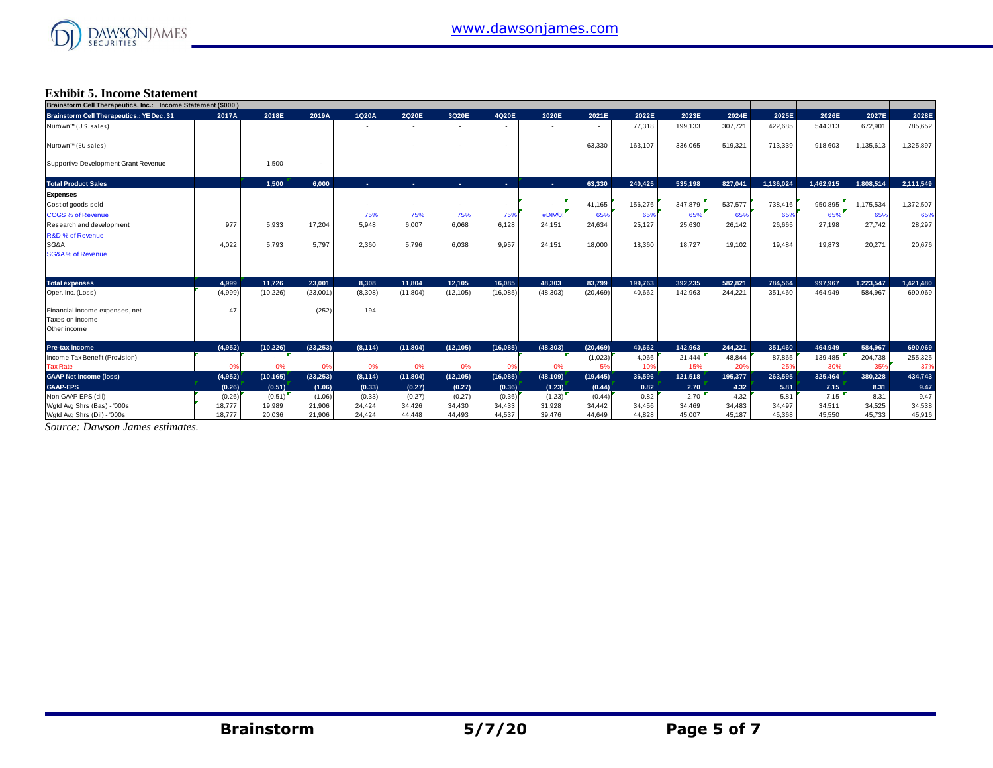

### **Exhibit 5. Income Statement**

| Brainstorm Cell Therapeutics, Inc.: Income Statement (\$000) |         |              |           |                          |           |            |                |                          |           |         |         |         |           |           |           |           |
|--------------------------------------------------------------|---------|--------------|-----------|--------------------------|-----------|------------|----------------|--------------------------|-----------|---------|---------|---------|-----------|-----------|-----------|-----------|
| <b>Brainstorm Cell Therapeutics.: YE Dec. 31</b>             | 2017A   | 2018E        | 2019A     | 1Q20A                    | 2020E     | 3Q20E      | 4Q20E          | 2020E                    | 2021E     | 2022E   | 2023E   | 2024E   | 2025E     | 2026E     | 2027E     | 2028E     |
| Nurown™ (U.S. sales)                                         |         |              |           |                          |           |            |                | $\overline{\phantom{a}}$ | ۰.        | 77,318  | 199,133 | 307,721 | 422,685   | 544,313   | 672,901   | 785,652   |
| Nurown™ (EU sales)                                           |         |              |           |                          |           |            |                |                          | 63,330    | 163,107 | 336,065 | 519,321 | 713,339   | 918,603   | 1,135,613 | 1,325,897 |
| Supportive Development Grant Revenue                         |         | 1.500        |           |                          |           |            |                |                          |           |         |         |         |           |           |           |           |
| <b>Total Product Sales</b>                                   |         | 1.500        | 6.000     | <b>COL</b>               | and the   | <b>COL</b> | <b>Section</b> | $\sim 10$                | 63.330    | 240.425 | 535.198 | 827.041 | 1.136.024 | 1.462.915 | 1.808.514 | 2,111,549 |
| <b>Expenses</b>                                              |         |              |           |                          |           |            |                |                          |           |         |         |         |           |           |           |           |
| Cost of goods sold                                           |         |              |           |                          |           |            | ٠              | $\sim$                   | 41,165    | 156,276 | 347,879 | 537,577 | 738,416   | 950,895   | 1,175,534 | 1,372,507 |
| <b>COGS % of Revenue</b>                                     |         |              |           | 75%                      | 75%       | 75%        | 75%            | #DIV/0!                  | 65%       | 65%     | 65%     | 65%     | 65%       | 65%       | 65%       | 65%       |
| Research and development                                     | 977     | 5.933        | 17.204    | 5.948                    | 6.007     | 6,068      | 6,128          | 24,151                   | 24,634    | 25,127  | 25,630  | 26,142  | 26,665    | 27,198    | 27.742    | 28,297    |
| R&D % of Revenue                                             |         |              |           |                          |           |            |                |                          |           |         |         |         |           |           |           |           |
| SG&A                                                         | 4,022   | 5.793        | 5.797     | 2,360                    | 5,796     | 6,038      | 9,957          | 24,151                   | 18,000    | 18,360  | 18,727  | 19,102  | 19,484    | 19,873    | 20,271    | 20,676    |
| <b>SG&amp;A% of Revenue</b>                                  |         |              |           |                          |           |            |                |                          |           |         |         |         |           |           |           |           |
|                                                              |         |              |           |                          |           |            |                |                          |           |         |         |         |           |           |           |           |
| <b>Total expenses</b>                                        | 4.999   | 11.726       | 23.001    | 8.308                    | 11.804    | 12.105     | 16.085         | 48.303                   | 83.799    | 199,763 | 392.235 | 582.821 | 784.564   | 997.967   | 1.223.547 | 1,421,480 |
| Oper. Inc. (Loss)                                            | (4,999) | (10, 226)    | (23,001)  | (8,308)                  | (11, 804) | (12, 105)  | (16,085)       | (48, 303)                | (20, 469) | 40,662  | 142,963 | 244,221 | 351,460   | 464,949   | 584,967   | 690,069   |
| Financial income expenses, net                               | 47      |              | (252)     | 194                      |           |            |                |                          |           |         |         |         |           |           |           |           |
| Taxes on income                                              |         |              |           |                          |           |            |                |                          |           |         |         |         |           |           |           |           |
| Other income                                                 |         |              |           |                          |           |            |                |                          |           |         |         |         |           |           |           |           |
| <b>Pre-tax income</b>                                        | (4,952) | (10.226)     | (23.253)  | (8, 114)                 | (11.804)  | (12, 105)  | (16,085)       | (48, 303)                | (20, 469) | 40.662  | 142.963 | 244.221 | 351.460   | 464.949   | 584.967   | 690,069   |
| Income Tax Benefit (Provision)                               | ٠       | $\sim$       | $\sim$    | $\overline{\phantom{a}}$ | $\sim$    |            | $\sim$         | $\sim$                   | (1,023)   | 4,066   | 21,444  | 48,844  | 87,865    | 139,485   | 204,738   | 255,325   |
| <b>Tax Rate</b>                                              | 0%      | <sub>0</sub> | 0%        | 0%                       | 0%        | 0%         | 0%             | 0%                       |           | 10%     | 15%     | 20%     | 25%       | 30%       | 35%       | 37%       |
| <b>GAAP Net Income (loss)</b>                                | (4,952) | (10, 165)    | (23, 253) | (8, 114)                 | (11, 804) | (12, 105)  | (16,085)       | (48, 109)                | (19, 445) | 36,596  | 121,518 | 195,377 | 263,595   | 325,464   | 380,228   | 434,743   |
| <b>GAAP-EPS</b>                                              | (0.26)  | (0.51)       | (1.06)    | (0.33)                   | (0.27)    | (0.27)     | (0.36)         | (1.23)                   | (0.44)    | 0.82    | 2.70    | 4.32    | 5.81      | 7.15      | 8.31      | 9.47      |
| Non GAAP EPS (dil)                                           | (0.26)  | (0.51)       | (1.06)    | (0.33)                   | (0.27)    | (0.27)     | (0.36)         | (1.23)                   | (0.44)    | 0.82    | 2.70    | 4.32    | 5.81      | 7.15      | 8.31      | 9.47      |
| Wgtd Avg Shrs (Bas) - '000s                                  | 18,777  | 19.989       | 21,906    | 24.424                   | 34.426    | 34.430     | 34,433         | 31,928                   | 34.442    | 34,456  | 34,469  | 34,483  | 34,497    | 34,511    | 34,525    | 34,538    |
| Wgtd Avg Shrs (Dil) - '000s                                  | 18,777  | 20.036       | 21,906    | 24.424                   | 44.448    | 44.493     | 44.537         | 39,476                   | 44.649    | 44.828  | 45.007  | 45.187  | 45.368    | 45,550    | 45.733    | 45,916    |

*Source: Dawson James estimates.*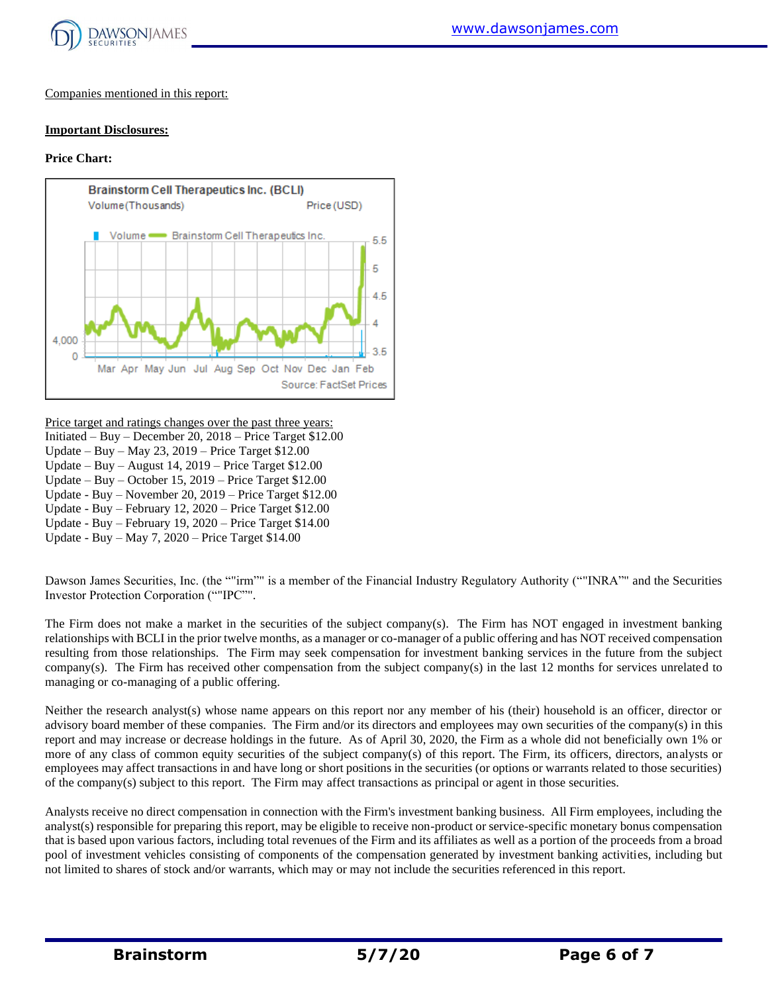

Companies mentioned in this report:

#### **Important Disclosures:**

#### **Price Chart:**



Price target and ratings changes over the past three years:

- Initiated Buy December 20, 2018 Price Target \$12.00
- Update Buy May 23, 2019 Price Target \$12.00
- Update Buy August 14, 2019 Price Target \$12.00
- Update Buy October 15, 2019 Price Target \$12.00
- Update Buy November 20, 2019 Price Target \$12.00
- Update Buy February 12, 2020 Price Target \$12.00
- Update Buy February 19, 2020 Price Target \$14.00

Update - Buy – May 7, 2020 – Price Target \$14.00

Dawson James Securities, Inc. (the ""irm"" is a member of the Financial Industry Regulatory Authority (""INRA"" and the Securities Investor Protection Corporation (""IPC"".

The Firm does not make a market in the securities of the subject company(s). The Firm has NOT engaged in investment banking relationships with BCLI in the prior twelve months, as a manager or co-manager of a public offering and has NOT received compensation resulting from those relationships. The Firm may seek compensation for investment banking services in the future from the subject company(s). The Firm has received other compensation from the subject company(s) in the last 12 months for services unrelated to managing or co-managing of a public offering.

Neither the research analyst(s) whose name appears on this report nor any member of his (their) household is an officer, director or advisory board member of these companies. The Firm and/or its directors and employees may own securities of the company(s) in this report and may increase or decrease holdings in the future. As of April 30, 2020, the Firm as a whole did not beneficially own 1% or more of any class of common equity securities of the subject company(s) of this report. The Firm, its officers, directors, analysts or employees may affect transactions in and have long or short positions in the securities (or options or warrants related to those securities) of the company(s) subject to this report. The Firm may affect transactions as principal or agent in those securities.

Analysts receive no direct compensation in connection with the Firm's investment banking business. All Firm employees, including the analyst(s) responsible for preparing this report, may be eligible to receive non-product or service-specific monetary bonus compensation that is based upon various factors, including total revenues of the Firm and its affiliates as well as a portion of the proceeds from a broad pool of investment vehicles consisting of components of the compensation generated by investment banking activities, including but not limited to shares of stock and/or warrants, which may or may not include the securities referenced in this report.